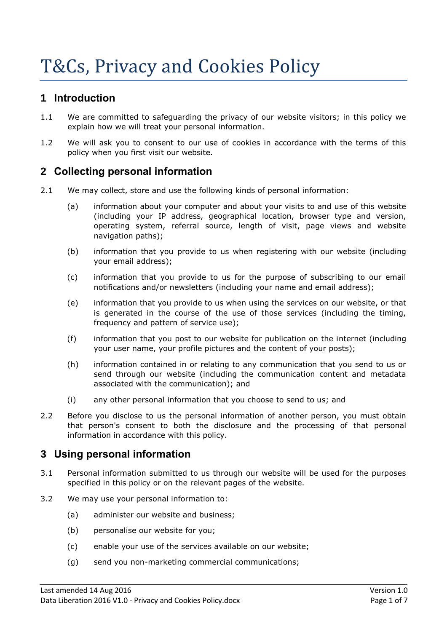# T&Cs, Privacy and Cookies Policy

#### **1 Introduction**

- 1.1 We are committed to safeguarding the privacy of our website visitors; in this policy we explain how we will treat your personal information.
- 1.2 We will ask you to consent to our use of cookies in accordance with the terms of this policy when you first visit our website.

#### **2 Collecting personal information**

- 2.1 We may collect, store and use the following kinds of personal information:
	- (a) information about your computer and about your visits to and use of this website (including your IP address, geographical location, browser type and version, operating system, referral source, length of visit, page views and website navigation paths);
	- (b) information that you provide to us when registering with our website (including your email address);
	- (c) information that you provide to us for the purpose of subscribing to our email notifications and/or newsletters (including your name and email address);
	- (e) information that you provide to us when using the services on our website, or that is generated in the course of the use of those services (including the timing, frequency and pattern of service use);
	- (f) information that you post to our website for publication on the internet (including your user name, your profile pictures and the content of your posts);
	- (h) information contained in or relating to any communication that you send to us or send through our website (including the communication content and metadata associated with the communication); and
	- (i) any other personal information that you choose to send to us; and
- 2.2 Before you disclose to us the personal information of another person, you must obtain that person's consent to both the disclosure and the processing of that personal information in accordance with this policy.

# **3 Using personal information**

- 3.1 Personal information submitted to us through our website will be used for the purposes specified in this policy or on the relevant pages of the website.
- 3.2 We may use your personal information to:
	- (a) administer our website and business;
	- (b) personalise our website for you;
	- (c) enable your use of the services available on our website;
	- (g) send you non-marketing commercial communications;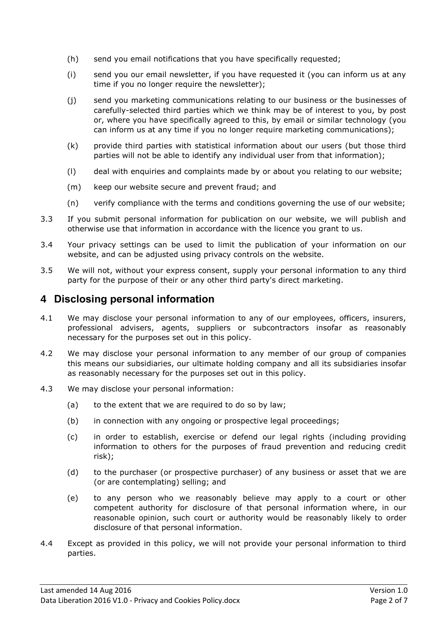- (h) send you email notifications that you have specifically requested;
- (i) send you our email newsletter, if you have requested it (you can inform us at any time if you no longer require the newsletter);
- (j) send you marketing communications relating to our business or the businesses of carefully-selected third parties which we think may be of interest to you, by post or, where you have specifically agreed to this, by email or similar technology (you can inform us at any time if you no longer require marketing communications);
- (k) provide third parties with statistical information about our users (but those third parties will not be able to identify any individual user from that information);
- (l) deal with enquiries and complaints made by or about you relating to our website;
- (m) keep our website secure and prevent fraud; and
- (n) verify compliance with the terms and conditions governing the use of our website;
- 3.3 If you submit personal information for publication on our website, we will publish and otherwise use that information in accordance with the licence you grant to us.
- 3.4 Your privacy settings can be used to limit the publication of your information on our website, and can be adjusted using privacy controls on the website.
- 3.5 We will not, without your express consent, supply your personal information to any third party for the purpose of their or any other third party's direct marketing.

# **4 Disclosing personal information**

- 4.1 We may disclose your personal information to any of our employees, officers, insurers, professional advisers, agents, suppliers or subcontractors insofar as reasonably necessary for the purposes set out in this policy.
- 4.2 We may disclose your personal information to any member of our group of companies this means our subsidiaries, our ultimate holding company and all its subsidiaries insofar as reasonably necessary for the purposes set out in this policy.
- 4.3 We may disclose your personal information:
	- (a) to the extent that we are required to do so by law;
	- (b) in connection with any ongoing or prospective legal proceedings;
	- (c) in order to establish, exercise or defend our legal rights (including providing information to others for the purposes of fraud prevention and reducing credit risk);
	- (d) to the purchaser (or prospective purchaser) of any business or asset that we are (or are contemplating) selling; and
	- (e) to any person who we reasonably believe may apply to a court or other competent authority for disclosure of that personal information where, in our reasonable opinion, such court or authority would be reasonably likely to order disclosure of that personal information.
- 4.4 Except as provided in this policy, we will not provide your personal information to third parties.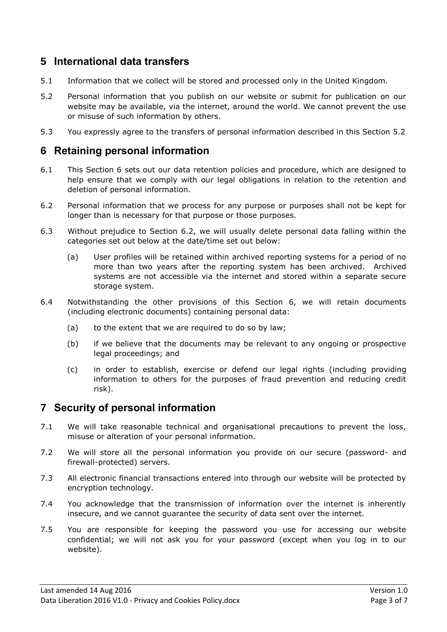#### **5 International data transfers**

- 5.1 Information that we collect will be stored and processed only in the United Kingdom.
- 5.2 Personal information that you publish on our website or submit for publication on our website may be available, via the internet, around the world. We cannot prevent the use or misuse of such information by others.
- 5.3 You expressly agree to the transfers of personal information described in this Section 5.2

#### **6 Retaining personal information**

- 6.1 This Section 6 sets out our data retention policies and procedure, which are designed to help ensure that we comply with our legal obligations in relation to the retention and deletion of personal information.
- 6.2 Personal information that we process for any purpose or purposes shall not be kept for longer than is necessary for that purpose or those purposes.
- 6.3 Without prejudice to Section 6.2, we will usually delete personal data falling within the categories set out below at the date/time set out below:
	- (a) User profiles will be retained within archived reporting systems for a period of no more than two years after the reporting system has been archived. Archived systems are not accessible via the internet and stored within a separate secure storage system.
- 6.4 Notwithstanding the other provisions of this Section 6, we will retain documents (including electronic documents) containing personal data:
	- (a) to the extent that we are required to do so by law;
	- (b) if we believe that the documents may be relevant to any ongoing or prospective legal proceedings; and
	- (c) in order to establish, exercise or defend our legal rights (including providing information to others for the purposes of fraud prevention and reducing credit risk).

# **7 Security of personal information**

- 7.1 We will take reasonable technical and organisational precautions to prevent the loss, misuse or alteration of your personal information.
- 7.2 We will store all the personal information you provide on our secure (password- and firewall-protected) servers.
- 7.3 All electronic financial transactions entered into through our website will be protected by encryption technology.
- 7.4 You acknowledge that the transmission of information over the internet is inherently insecure, and we cannot guarantee the security of data sent over the internet.
- 7.5 You are responsible for keeping the password you use for accessing our website confidential; we will not ask you for your password (except when you log in to our website).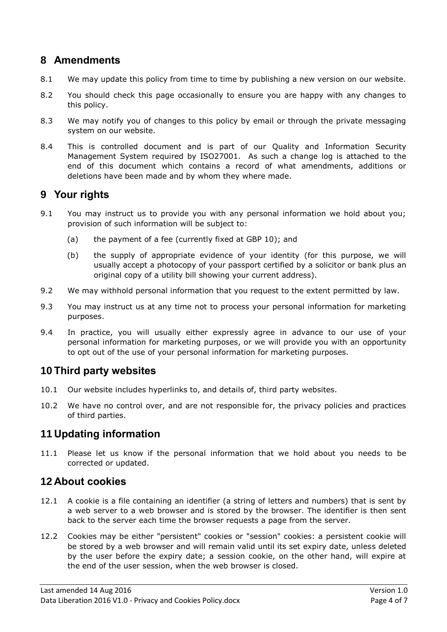# **8 Amendments**

- 8.1 We may update this policy from time to time by publishing a new version on our website.
- 8.2 You should check this page occasionally to ensure you are happy with any changes to this policy.
- 8.3 We may notify you of changes to this policy by email or through the private messaging system on our website.
- 8.4 This is controlled document and is part of our Quality and Information Security Management System required by ISO27001. As such a change log is attached to the end of this document which contains a record of what amendments, additions or deletions have been made and by whom they where made.

# **9 Your rights**

- 9.1 You may instruct us to provide you with any personal information we hold about you; provision of such information will be subject to:
	- (a) the payment of a fee (currently fixed at GBP 10); and
	- (b) the supply of appropriate evidence of your identity (for this purpose, we will usually accept a photocopy of your passport certified by a solicitor or bank plus an original copy of a utility bill showing your current address).
- 9.2 We may withhold personal information that you request to the extent permitted by law.
- 9.3 You may instruct us at any time not to process your personal information for marketing purposes.
- 9.4 In practice, you will usually either expressly agree in advance to our use of your personal information for marketing purposes, or we will provide you with an opportunity to opt out of the use of your personal information for marketing purposes.

# **10 Third party websites**

- 10.1 Our website includes hyperlinks to, and details of, third party websites.
- 10.2 We have no control over, and are not responsible for, the privacy policies and practices of third parties.

# **11 Updating information**

11.1 Please let us know if the personal information that we hold about you needs to be corrected or updated.

# **12 About cookies**

- 12.1 A cookie is a file containing an identifier (a string of letters and numbers) that is sent by a web server to a web browser and is stored by the browser. The identifier is then sent back to the server each time the browser requests a page from the server.
- 12.2 Cookies may be either "persistent" cookies or "session" cookies: a persistent cookie will be stored by a web browser and will remain valid until its set expiry date, unless deleted by the user before the expiry date; a session cookie, on the other hand, will expire at the end of the user session, when the web browser is closed.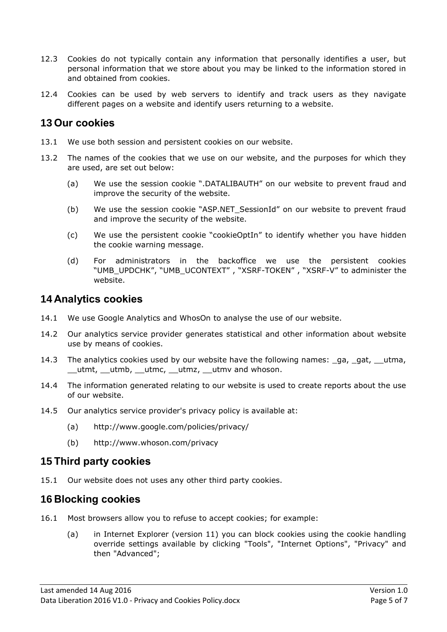- 12.3 Cookies do not typically contain any information that personally identifies a user, but personal information that we store about you may be linked to the information stored in and obtained from cookies.
- 12.4 Cookies can be used by web servers to identify and track users as they navigate different pages on a website and identify users returning to a website.

#### **13 Our cookies**

- 13.1 We use both session and persistent cookies on our website.
- 13.2 The names of the cookies that we use on our website, and the purposes for which they are used, are set out below:
	- (a) We use the session cookie ".DATALIBAUTH" on our website to prevent fraud and improve the security of the website.
	- (b) We use the session cookie "ASP.NET\_SessionId" on our website to prevent fraud and improve the security of the website.
	- (c) We use the persistent cookie "cookieOptIn" to identify whether you have hidden the cookie warning message.
	- (d) For administrators in the backoffice we use the persistent cookies "UMB\_UPDCHK", "UMB\_UCONTEXT" , "XSRF-TOKEN" , "XSRF-V" to administer the website.

#### **14 Analytics cookies**

- 14.1 We use Google Analytics and WhosOn to analyse the use of our website.
- 14.2 Our analytics service provider generates statistical and other information about website use by means of cookies.
- 14.3 The analytics cookies used by our website have the following names: ga, gat, utma, utmt, utmb, utmc, utmz, utmv and whoson.
- 14.4 The information generated relating to our website is used to create reports about the use of our website.
- 14.5 Our analytics service provider's privacy policy is available at:
	- (a) http://www.google.com/policies/privacy/
	- (b) http://www.whoson.com/privacy

#### **15 Third party cookies**

15.1 Our website does not uses any other third party cookies.

#### **16 Blocking cookies**

- 16.1 Most browsers allow you to refuse to accept cookies; for example:
	- (a) in Internet Explorer (version 11) you can block cookies using the cookie handling override settings available by clicking "Tools", "Internet Options", "Privacy" and then "Advanced";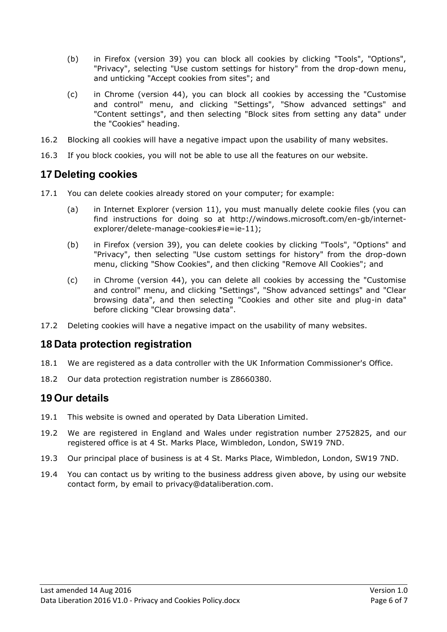- (b) in Firefox (version 39) you can block all cookies by clicking "Tools", "Options", "Privacy", selecting "Use custom settings for history" from the drop-down menu, and unticking "Accept cookies from sites"; and
- (c) in Chrome (version 44), you can block all cookies by accessing the "Customise and control" menu, and clicking "Settings", "Show advanced settings" and "Content settings", and then selecting "Block sites from setting any data" under the "Cookies" heading.
- 16.2 Blocking all cookies will have a negative impact upon the usability of many websites.
- 16.3 If you block cookies, you will not be able to use all the features on our website.

# **17 Deleting cookies**

- 17.1 You can delete cookies already stored on your computer; for example:
	- (a) in Internet Explorer (version 11), you must manually delete cookie files (you can find instructions for doing so at http://windows.microsoft.com/en-gb/internetexplorer/delete-manage-cookies#ie=ie-11);
	- (b) in Firefox (version 39), you can delete cookies by clicking "Tools", "Options" and "Privacy", then selecting "Use custom settings for history" from the drop-down menu, clicking "Show Cookies", and then clicking "Remove All Cookies"; and
	- (c) in Chrome (version 44), you can delete all cookies by accessing the "Customise and control" menu, and clicking "Settings", "Show advanced settings" and "Clear browsing data", and then selecting "Cookies and other site and plug-in data" before clicking "Clear browsing data".
- 17.2 Deleting cookies will have a negative impact on the usability of many websites.

#### **18 Data protection registration**

- 18.1 We are registered as a data controller with the UK Information Commissioner's Office.
- 18.2 Our data protection registration number is Z8660380.

#### **19 Our details**

- 19.1 This website is owned and operated by Data Liberation Limited.
- 19.2 We are registered in England and Wales under registration number 2752825, and our registered office is at 4 St. Marks Place, Wimbledon, London, SW19 7ND.
- 19.3 Our principal place of business is at 4 St. Marks Place, Wimbledon, London, SW19 7ND.
- 19.4 You can contact us by writing to the business address given above, by using our website contact form, by email to privacy@dataliberation.com.